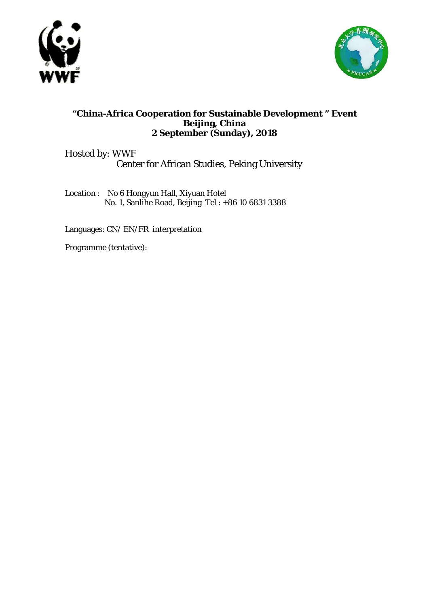



## **"China-Africa Cooperation for Sustainable Development " Event Beijing, China 2 September (Sunday), 2018**

Hosted by: WWF Center for African Studies, Peking University

Location : No 6 Hongyun Hall, Xiyuan Hotel No. 1, Sanlihe Road, Beijing Tel : +86 10 6831 3388

Languages: CN/ EN/FR interpretation

Programme (tentative):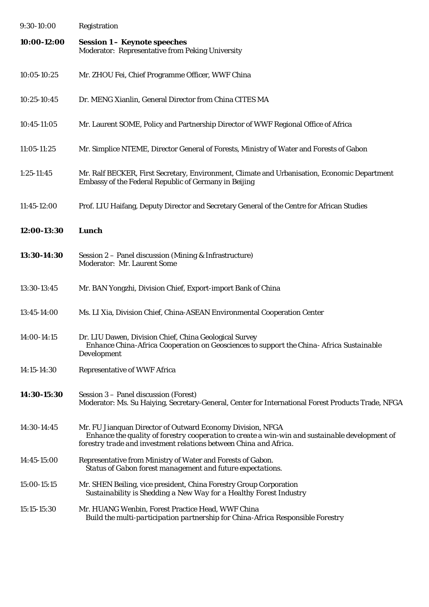| 9:30-10:00    | Registration                                                                                                                                                                                                                      |
|---------------|-----------------------------------------------------------------------------------------------------------------------------------------------------------------------------------------------------------------------------------|
| 10:00-12:00   | <b>Session 1 - Keynote speeches</b><br>Moderator: Representative from Peking University                                                                                                                                           |
| 10:05-10:25   | Mr. ZHOU Fei, Chief Programme Officer, WWF China                                                                                                                                                                                  |
| 10:25-10:45   | Dr. MENG Xianlin, General Director from China CITES MA                                                                                                                                                                            |
| 10:45-11:05   | Mr. Laurent SOME, Policy and Partnership Director of WWF Regional Office of Africa                                                                                                                                                |
| $11:05-11:25$ | Mr. Simplice NTEME, Director General of Forests, Ministry of Water and Forests of Gabon                                                                                                                                           |
| $1:25-11:45$  | Mr. Ralf BECKER, First Secretary, Environment, Climate and Urbanisation, Economic Department<br>Embassy of the Federal Republic of Germany in Beijing                                                                             |
| 11:45-12:00   | Prof. LIU Haifang, Deputy Director and Secretary General of the Centre for African Studies                                                                                                                                        |
| 12:00-13:30   | <b>Lunch</b>                                                                                                                                                                                                                      |
| 13:30-14:30   | Session 2 - Panel discussion (Mining & Infrastructure)<br>Moderator: Mr. Laurent Some                                                                                                                                             |
| 13:30-13:45   | Mr. BAN Yongzhi, Division Chief, Export-import Bank of China                                                                                                                                                                      |
| 13:45-14:00   | Ms. LI Xia, Division Chief, China-ASEAN Environmental Cooperation Center                                                                                                                                                          |
| 14:00-14:15   | Dr. LIU Dawen, Division Chief, China Geological Survey<br>Enhance China-Africa Cooperation on Geosciences to support the China-Africa Sustainable<br>Development                                                                  |
| 14:15-14:30   | <b>Representative of WWF Africa</b>                                                                                                                                                                                               |
| 14:30-15:30   | Session 3 – Panel discussion (Forest)<br>Moderator: Ms. Su Haiying, Secretary-General, Center for International Forest Products Trade, NFGA                                                                                       |
| 14:30-14:45   | Mr. FU Jianquan Director of Outward Economy Division, NFGA<br>Enhance the quality of forestry cooperation to create a win-win and sustainable development of<br>forestry trade and investment relations between China and Africa. |
| 14:45-15:00   | Representative from Ministry of Water and Forests of Gabon.<br>Status of Gabon forest management and future expectations.                                                                                                         |
| 15:00-15:15   | Mr. SHEN Beiling, vice president, China Forestry Group Corporation<br>Sustainability is Shedding a New Way for a Healthy Forest Industry                                                                                          |
| 15:15-15:30   | Mr. HUANG Wenbin, Forest Practice Head, WWF China<br>Build the multi-participation partnership for China-Africa Responsible Forestry                                                                                              |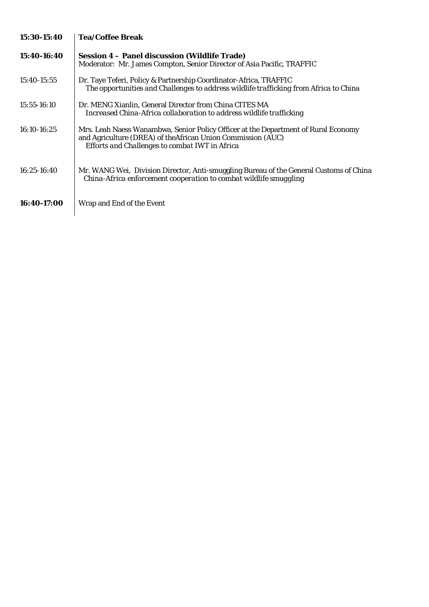| 15:30-15:40     | <b>Tea/Coffee Break</b>                                                                                                                                                                              |
|-----------------|------------------------------------------------------------------------------------------------------------------------------------------------------------------------------------------------------|
| 15:40-16:40     | <b>Session 4 – Panel discussion (Wildlife Trade)</b><br>Moderator: Mr. James Compton, Senior Director of Asia Pacific, TRAFFIC                                                                       |
| 15:40-15:55     | Dr. Taye Teferi, Policy & Partnership Coordinator-Africa, TRAFFIC<br>The opportunities and Challenges to address wildlife trafficking from Africa to China                                           |
| $15:55 - 16:10$ | Dr. MENG Xianlin, General Director from China CITES MA<br>Increased China-Africa collaboration to address wildlife trafficking                                                                       |
| 16:10-16:25     | Mrs. Leah Naess Wanambwa, Senior Policy Officer at the Department of Rural Economy<br>and Agriculture (DREA) of the African Union Commission (AUC)<br>Efforts and Challenges to combat IWT in Africa |
| 16:25-16:40     | Mr. WANG Wei, Division Director, Anti-smuggling Bureau of the General Customs of China<br>China-Africa enforcement cooperation to combat wildlife smuggling                                          |
| 16:40-17:00     | Wrap and End of the Event                                                                                                                                                                            |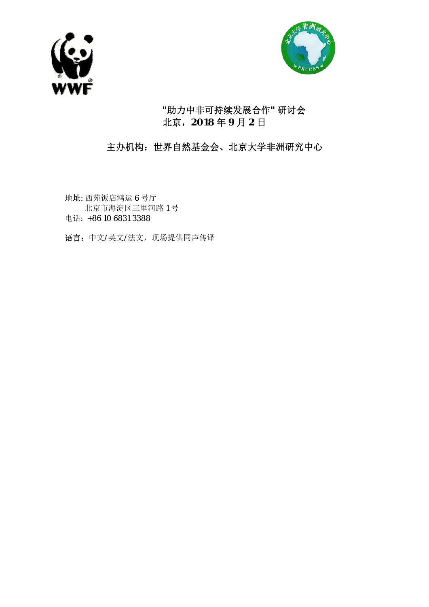



## **"**助力中非可持续发展合作**"** 研讨会 北京,**2018** 年 **9** 月 **2** 日

## 主办机构:世界自然基金会、北京大学非洲研究中心

地址: 西苑饭店鸿运 6 号厅 北京市海淀区三里河路 1 号 电话: +86 10 6831 3388

语言:中文/英文/法文,现场提供同声传译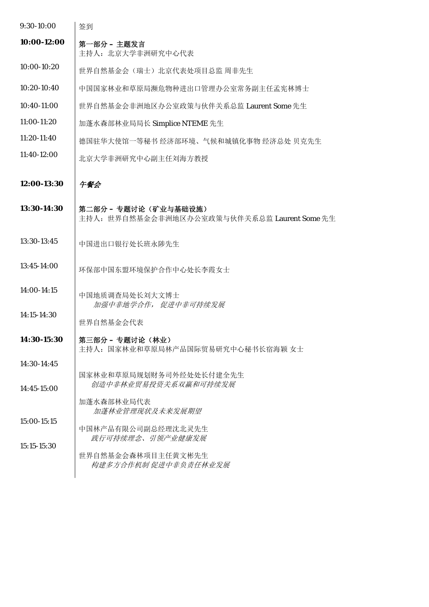| 9:30-10:00    | 签到                                                                   |
|---------------|----------------------------------------------------------------------|
| 10:00-12:00   | 第一部分 – 主题发言<br>主持人: 北京大学非洲研究中心代表                                     |
| 10:00-10:20   | 世界自然基金会(瑞士)北京代表处项目总监 周非先生                                            |
| $10:20-10:40$ | 中国国家林业和草原局濒危物种进出口管理办公室常务副主任孟宪林博士                                     |
| 10:40-11:00   | 世界自然基金会非洲地区办公室政策与伙伴关系总监 Laurent Some 先生                              |
| 11:00-11:20   | 加蓬水森部林业局局长 Simplice NTEME 先生                                         |
| 11:20-11:40   | 德国驻华大使馆一等秘书 经济部环境、气候和城镇化事物 经济总处 贝克先生                                 |
| $11:40-12:00$ | 北京大学非洲研究中心副主任刘海方教授                                                   |
| 12:00-13:30   | 午餐会                                                                  |
| 13:30-14:30   | 第二部分 - 专题讨论(矿业与基础设施)<br>主持人: 世界自然基金会非洲地区办公室政策与伙伴关系总监 Laurent Some 先生 |
| 13:30-13:45   | 中国进出口银行处长班永陟先生                                                       |
| 13:45-14:00   | 环保部中国东盟环境保护合作中心处长李霞女士                                                |
| 14:00-14:15   | 中国地质调查局处长刘大文博士<br>加强中非地学合作, 促进中非可持续发展                                |
| 14:15-14:30   | 世界自然基金会代表                                                            |
| 14:30-15:30   | 第三部分 - 专题讨论(林业)<br>主持人: 国家林业和草原局林产品国际贸易研究中心秘书长宿海颖 女士                 |
| 14:30-14:45   |                                                                      |
| $14:45-15:00$ | 国家林业和草原局规划财务司外经处处长付建全先生<br>创造中非林业贸易投资关系双赢和可持续发展                      |
|               | 加蓬水森部林业局代表<br>加蓬林业管理现状及未来发展期望                                        |
| 15:00-15:15   | 中国林产品有限公司副总经理沈北灵先生<br>践行可持续理念、引领产业健康发展                               |
| 15:15-15:30   | 世界自然基金会森林项目主任黄文彬先生<br>构建多方合作机制 促进中非负责任林业发展                           |